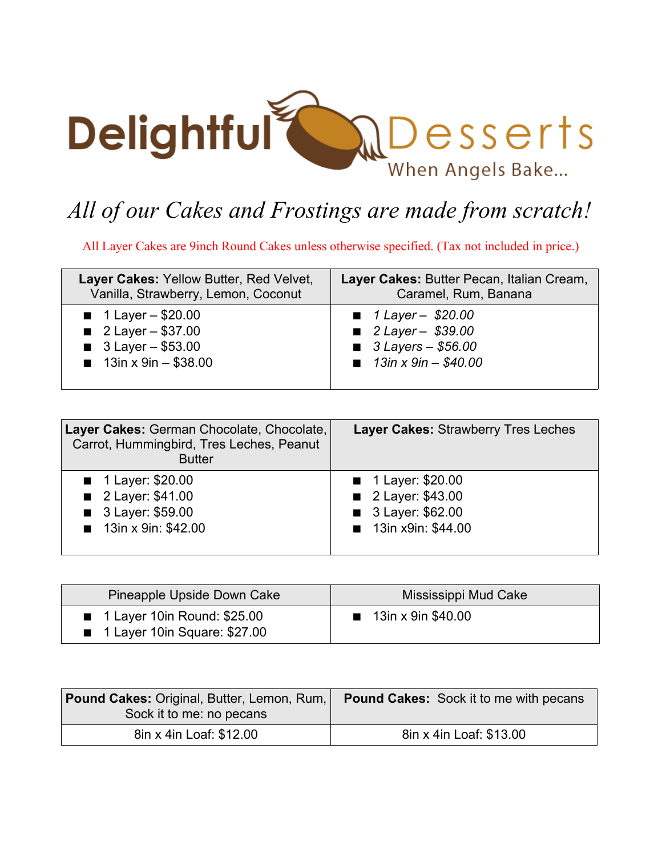

## *All of our Cakes and Frostings are made from scratch!*

All Layer Cakes are 9inch Round Cakes unless otherwise specified. (Tax not included in price.)

| Layer Cakes: Yellow Butter, Red Velvet, | Layer Cakes: Butter Pecan, Italian Cream, |
|-----------------------------------------|-------------------------------------------|
| Vanilla, Strawberry, Lemon, Coconut     | Caramel, Rum, Banana                      |
| <b>1 Layer – \$20.00</b>                | $1 Layer - $20.00$                        |
| <b>2 Layer - \$37.00</b>                | <b>2 Layer - \$39.00</b>                  |
| $\blacksquare$ 3 Layer - \$53.00        | $\blacksquare$ 3 Layers - \$56.00         |
| $\blacksquare$ 13in x 9in - \$38.00     | <b>13in x 9in - \$40.00</b>               |

| Layer Cakes: German Chocolate, Chocolate,<br>Carrot, Hummingbird, Tres Leches, Peanut<br><b>Butter</b> | <b>Layer Cakes: Strawberry Tres Leches</b> |
|--------------------------------------------------------------------------------------------------------|--------------------------------------------|
| ■ 1 Layer: \$20.00                                                                                     | ■ 1 Layer: \$20.00                         |
| 2 Layer: \$41.00                                                                                       | 2 Layer: \$43.00                           |
| 3 Layer: \$59.00                                                                                       | 3 Layer: \$62.00                           |
| 13in x 9in: \$42.00                                                                                    | 13in x9in: \$44.00                         |

| Pineapple Upside Down Cake                                                                | Mississippi Mud Cake              |
|-------------------------------------------------------------------------------------------|-----------------------------------|
| $\blacksquare$ 1 Layer 10in Round: \$25.00<br>$\blacksquare$ 1 Layer 10in Square: \$27.00 | $\blacksquare$ 13in x 9in \$40.00 |

| <b>Pound Cakes: Original, Butter, Lemon, Rum,</b><br>Sock it to me: no pecans | <b>Pound Cakes:</b> Sock it to me with pecans |
|-------------------------------------------------------------------------------|-----------------------------------------------|
| 8in x 4in Loaf: \$12.00                                                       | 8in x 4in Loaf: \$13.00                       |